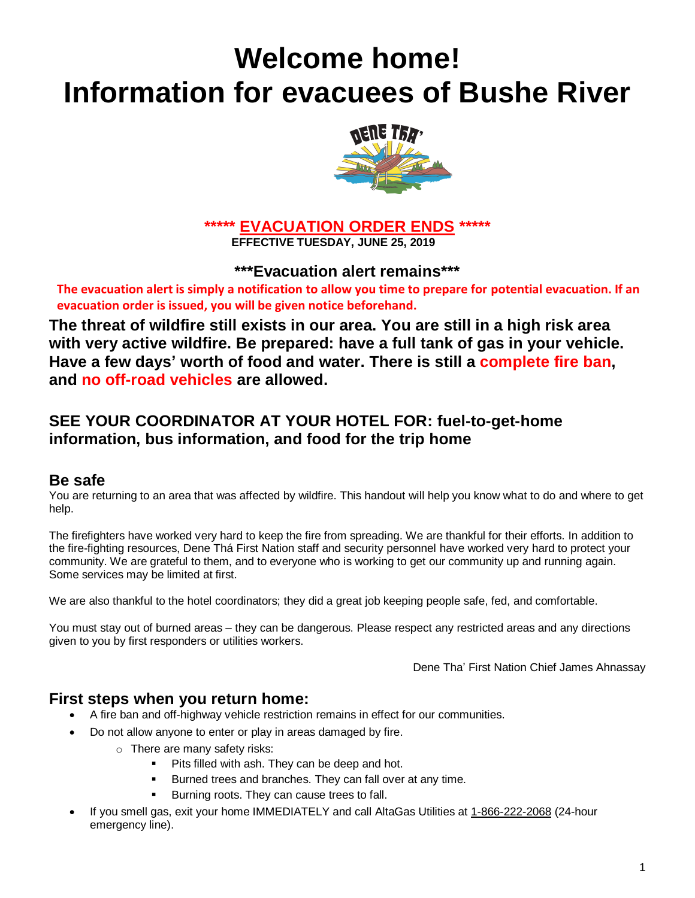# **Welcome home! Information for evacuees of Bushe River**



**\*\*\*\*\* EVACUATION ORDER ENDS \*\*\*\*\* EFFECTIVE TUESDAY, JUNE 25, 2019**

**\*\*\*Evacuation alert remains\*\*\***

**The evacuation alert is simply a notification to allow you time to prepare for potential evacuation. If an evacuation order is issued, you will be given notice beforehand.**

**The threat of wildfire still exists in our area. You are still in a high risk area with very active wildfire. Be prepared: have a full tank of gas in your vehicle. Have a few days' worth of food and water. There is still a complete fire ban, and no off-road vehicles are allowed.**

# **SEE YOUR COORDINATOR AT YOUR HOTEL FOR: fuel-to-get-home information, bus information, and food for the trip home**

# **Be safe**

You are returning to an area that was affected by wildfire. This handout will help you know what to do and where to get help.

The firefighters have worked very hard to keep the fire from spreading. We are thankful for their efforts. In addition to the fire-fighting resources, Dene Thá First Nation staff and security personnel have worked very hard to protect your community. We are grateful to them, and to everyone who is working to get our community up and running again. Some services may be limited at first.

We are also thankful to the hotel coordinators; they did a great job keeping people safe, fed, and comfortable.

You must stay out of burned areas – they can be dangerous. Please respect any restricted areas and any directions given to you by first responders or utilities workers.

Dene Tha' First Nation Chief James Ahnassay

#### **First steps when you return home:**

- A fire ban and off-highway vehicle restriction remains in effect for our communities.
- Do not allow anyone to enter or play in areas damaged by fire.
	- o There are many safety risks:
		- Pits filled with ash. They can be deep and hot.
		- Burned trees and branches. They can fall over at any time.
		- Burning roots. They can cause trees to fall.
- If you smell gas, exit your home IMMEDIATELY and call AltaGas Utilities at 1-866-222-2068 (24-hour emergency line).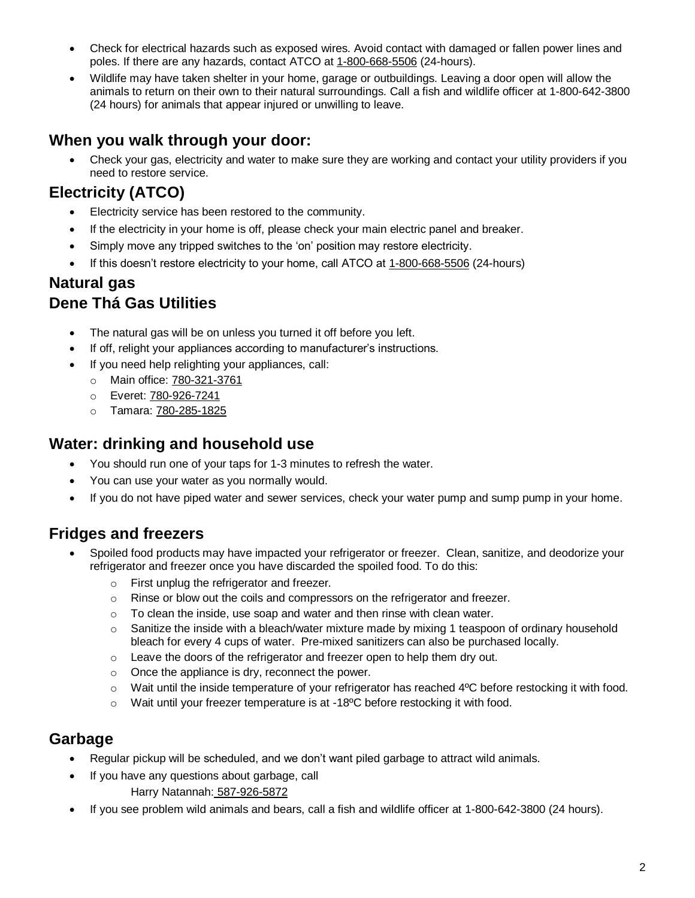- Check for electrical hazards such as exposed wires. Avoid contact with damaged or fallen power lines and poles. If there are any hazards, contact ATCO at 1-800-668-5506 (24-hours).
- Wildlife may have taken shelter in your home, garage or outbuildings. Leaving a door open will allow the animals to return on their own to their natural surroundings. Call a fish and wildlife officer at 1-800-642-3800 (24 hours) for animals that appear injured or unwilling to leave.

# **When you walk through your door:**

• Check your gas, electricity and water to make sure they are working and contact your utility providers if you need to restore service.

# **Electricity (ATCO)**

- Electricity service has been restored to the community.
- If the electricity in your home is off, please check your main electric panel and breaker.
- Simply move any tripped switches to the 'on' position may restore electricity.
- If this doesn't restore electricity to your home, call ATCO at 1-800-668-5506 (24-hours)

#### **Natural gas Dene Thá Gas Utilities**

- The natural gas will be on unless you turned it off before you left.
- If off, relight your appliances according to manufacturer's instructions.
- If you need help relighting your appliances, call:
	- o Main office: 780-321-3761
	- o Everet: 780-926-7241
	- o Tamara: 780-285-1825

### **Water: drinking and household use**

- You should run one of your taps for 1-3 minutes to refresh the water.
- You can use your water as you normally would.
- If you do not have piped water and sewer services, check your water pump and sump pump in your home.

# **Fridges and freezers**

- Spoiled food products may have impacted your refrigerator or freezer. Clean, sanitize, and deodorize your refrigerator and freezer once you have discarded the spoiled food. To do this:
	- o First unplug the refrigerator and freezer.
	- $\circ$  Rinse or blow out the coils and compressors on the refrigerator and freezer.
	- $\circ$  To clean the inside, use soap and water and then rinse with clean water.
	- $\circ$  Sanitize the inside with a bleach/water mixture made by mixing 1 teaspoon of ordinary household bleach for every 4 cups of water. Pre-mixed sanitizers can also be purchased locally.
	- o Leave the doors of the refrigerator and freezer open to help them dry out.
	- o Once the appliance is dry, reconnect the power.
	- $\circ$  Wait until the inside temperature of your refrigerator has reached 4 $\degree$ C before restocking it with food.
	- $\circ$  Wait until your freezer temperature is at -18 $\degree$ C before restocking it with food.

#### **Garbage**

- Regular pickup will be scheduled, and we don't want piled garbage to attract wild animals.
- If you have any questions about garbage, call
	- Harry Natannah: 587-926-5872
- If you see problem wild animals and bears, call a fish and wildlife officer at 1-800-642-3800 (24 hours).